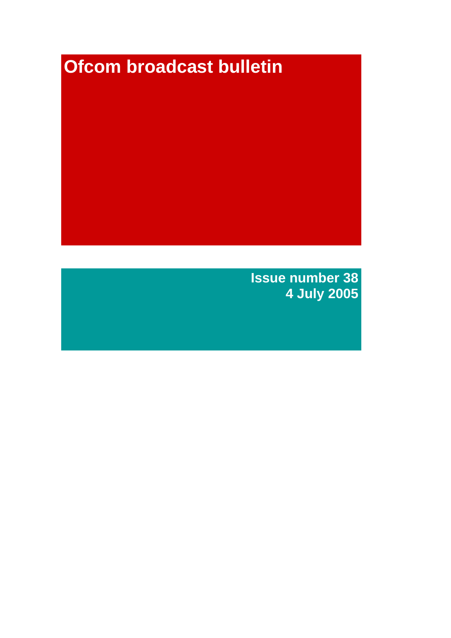# **Ofcom broadcast bulletin**

**Issue number 38 4 July 2005**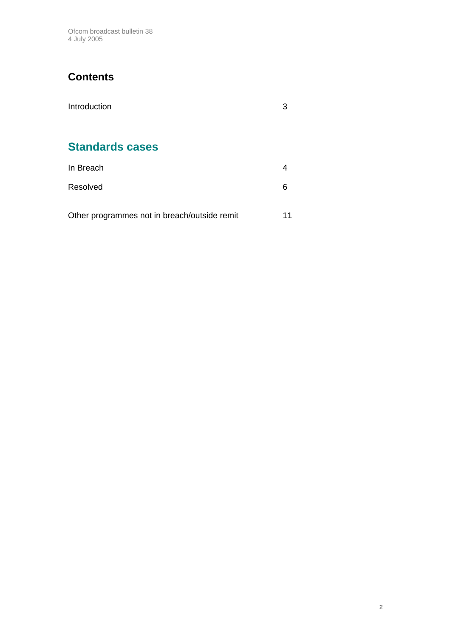Ofcom broadcast bulletin 38 4 July 2005

# **Contents**

| Introduction                                 | 3  |
|----------------------------------------------|----|
| <b>Standards cases</b>                       |    |
| In Breach                                    | 4  |
| Resolved                                     | 6  |
| Other programmes not in breach/outside remit | 11 |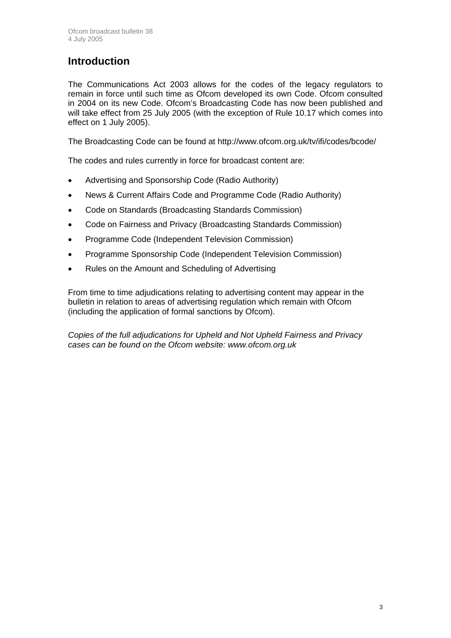# **Introduction**

The Communications Act 2003 allows for the codes of the legacy regulators to remain in force until such time as Ofcom developed its own Code. Ofcom consulted in 2004 on its new Code. Ofcom's Broadcasting Code has now been published and will take effect from 25 July 2005 (with the exception of Rule 10.17 which comes into effect on 1 July 2005).

The Broadcasting Code can be found at http://www.ofcom.org.uk/tv/ifi/codes/bcode/

The codes and rules currently in force for broadcast content are:

- Advertising and Sponsorship Code (Radio Authority)
- News & Current Affairs Code and Programme Code (Radio Authority)
- Code on Standards (Broadcasting Standards Commission)
- Code on Fairness and Privacy (Broadcasting Standards Commission)
- Programme Code (Independent Television Commission)
- Programme Sponsorship Code (Independent Television Commission)
- Rules on the Amount and Scheduling of Advertising

From time to time adjudications relating to advertising content may appear in the bulletin in relation to areas of advertising regulation which remain with Ofcom (including the application of formal sanctions by Ofcom).

*Copies of the full adjudications for Upheld and Not Upheld Fairness and Privacy cases can be found on the Ofcom website: www.ofcom.org.uk*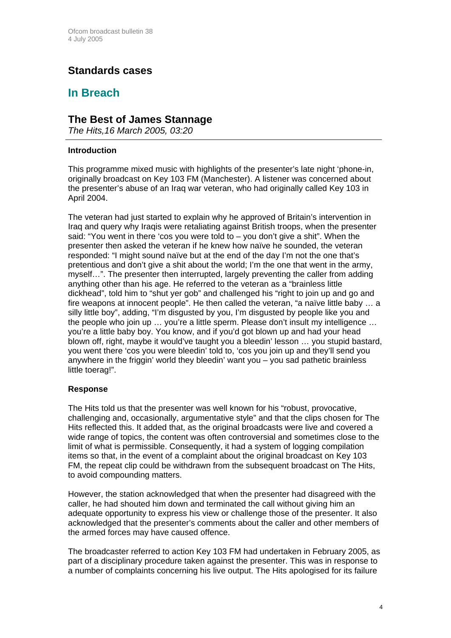# **Standards cases**

# **In Breach**

# **The Best of James Stannage**

*The Hits,16 March 2005, 03:20* 

#### **Introduction**

This programme mixed music with highlights of the presenter's late night 'phone-in, originally broadcast on Key 103 FM (Manchester). A listener was concerned about the presenter's abuse of an Iraq war veteran, who had originally called Key 103 in April 2004.

The veteran had just started to explain why he approved of Britain's intervention in Iraq and query why Iraqis were retaliating against British troops, when the presenter said: "You went in there 'cos you were told to – you don't give a shit". When the presenter then asked the veteran if he knew how naïve he sounded, the veteran responded: "I might sound naïve but at the end of the day I'm not the one that's pretentious and don't give a shit about the world; I'm the one that went in the army, myself…". The presenter then interrupted, largely preventing the caller from adding anything other than his age. He referred to the veteran as a "brainless little dickhead", told him to "shut yer gob" and challenged his "right to join up and go and fire weapons at innocent people". He then called the veteran, "a naïve little baby … a silly little boy", adding, "I'm disgusted by you, I'm disgusted by people like you and the people who join up … you're a little sperm. Please don't insult my intelligence … you're a little baby boy. You know, and if you'd got blown up and had your head blown off, right, maybe it would've taught you a bleedin' lesson … you stupid bastard, you went there 'cos you were bleedin' told to, 'cos you join up and they'll send you anywhere in the friggin' world they bleedin' want you – you sad pathetic brainless little toerag!".

# **Response**

The Hits told us that the presenter was well known for his "robust, provocative, challenging and, occasionally, argumentative style" and that the clips chosen for The Hits reflected this. It added that, as the original broadcasts were live and covered a wide range of topics, the content was often controversial and sometimes close to the limit of what is permissible. Consequently, it had a system of logging compilation items so that, in the event of a complaint about the original broadcast on Key 103 FM, the repeat clip could be withdrawn from the subsequent broadcast on The Hits, to avoid compounding matters.

However, the station acknowledged that when the presenter had disagreed with the caller, he had shouted him down and terminated the call without giving him an adequate opportunity to express his view or challenge those of the presenter. It also acknowledged that the presenter's comments about the caller and other members of the armed forces may have caused offence.

The broadcaster referred to action Key 103 FM had undertaken in February 2005, as part of a disciplinary procedure taken against the presenter. This was in response to a number of complaints concerning his live output. The Hits apologised for its failure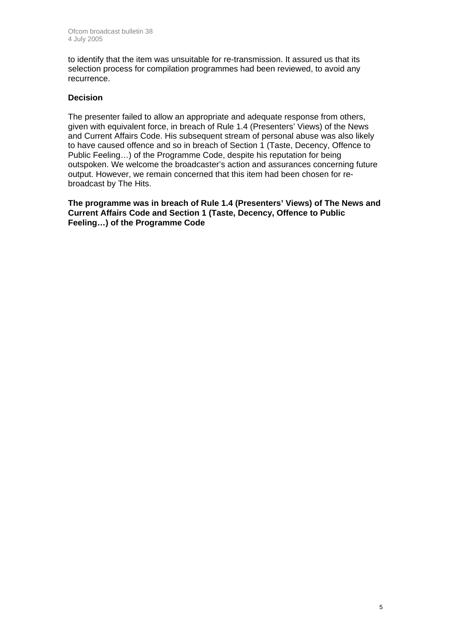to identify that the item was unsuitable for re-transmission. It assured us that its selection process for compilation programmes had been reviewed, to avoid any recurrence.

#### **Decision**

The presenter failed to allow an appropriate and adequate response from others, given with equivalent force, in breach of Rule 1.4 (Presenters' Views) of the News and Current Affairs Code. His subsequent stream of personal abuse was also likely to have caused offence and so in breach of Section 1 (Taste, Decency, Offence to Public Feeling…) of the Programme Code, despite his reputation for being outspoken. We welcome the broadcaster's action and assurances concerning future output. However, we remain concerned that this item had been chosen for rebroadcast by The Hits.

**The programme was in breach of Rule 1.4 (Presenters' Views) of The News and Current Affairs Code and Section 1 (Taste, Decency, Offence to Public Feeling…) of the Programme Code**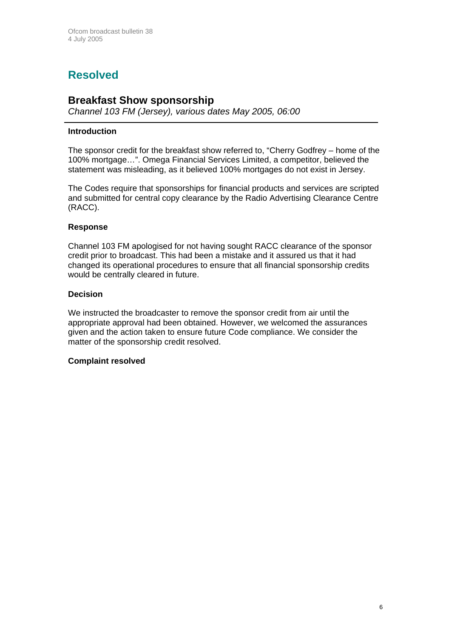# **Resolved**

# **Breakfast Show sponsorship**

*Channel 103 FM (Jersey), various dates May 2005, 06:00*

# **Introduction**

The sponsor credit for the breakfast show referred to, "Cherry Godfrey – home of the 100% mortgage…". Omega Financial Services Limited, a competitor, believed the statement was misleading, as it believed 100% mortgages do not exist in Jersey.

The Codes require that sponsorships for financial products and services are scripted and submitted for central copy clearance by the Radio Advertising Clearance Centre (RACC).

# **Response**

Channel 103 FM apologised for not having sought RACC clearance of the sponsor credit prior to broadcast. This had been a mistake and it assured us that it had changed its operational procedures to ensure that all financial sponsorship credits would be centrally cleared in future.

# **Decision**

We instructed the broadcaster to remove the sponsor credit from air until the appropriate approval had been obtained. However, we welcomed the assurances given and the action taken to ensure future Code compliance. We consider the matter of the sponsorship credit resolved.

# **Complaint resolved**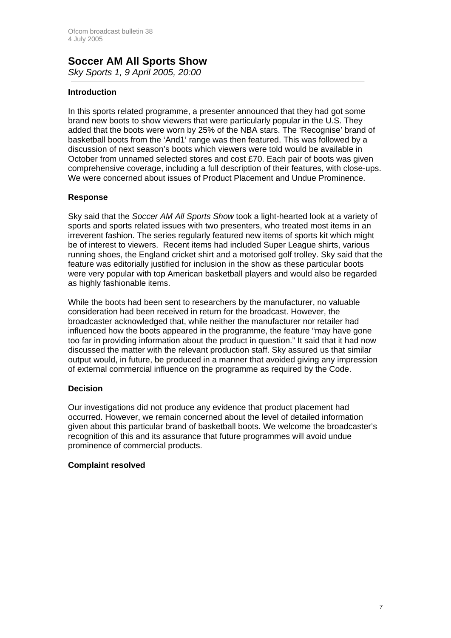# **Soccer AM All Sports Show**  *Sky Sports 1, 9 April 2005, 20:00*

# **Introduction**

In this sports related programme, a presenter announced that they had got some brand new boots to show viewers that were particularly popular in the U.S. They added that the boots were worn by 25% of the NBA stars. The 'Recognise' brand of basketball boots from the 'And1' range was then featured. This was followed by a discussion of next season's boots which viewers were told would be available in October from unnamed selected stores and cost £70. Each pair of boots was given comprehensive coverage, including a full description of their features, with close-ups. We were concerned about issues of Product Placement and Undue Prominence.

# **Response**

Sky said that the *Soccer AM All Sports Show* took a light-hearted look at a variety of sports and sports related issues with two presenters, who treated most items in an irreverent fashion. The series regularly featured new items of sports kit which might be of interest to viewers. Recent items had included Super League shirts, various running shoes, the England cricket shirt and a motorised golf trolley. Sky said that the feature was editorially justified for inclusion in the show as these particular boots were very popular with top American basketball players and would also be regarded as highly fashionable items.

While the boots had been sent to researchers by the manufacturer, no valuable consideration had been received in return for the broadcast. However, the broadcaster acknowledged that, while neither the manufacturer nor retailer had influenced how the boots appeared in the programme, the feature "may have gone too far in providing information about the product in question." It said that it had now discussed the matter with the relevant production staff. Sky assured us that similar output would, in future, be produced in a manner that avoided giving any impression of external commercial influence on the programme as required by the Code.

# **Decision**

Our investigations did not produce any evidence that product placement had occurred. However, we remain concerned about the level of detailed information given about this particular brand of basketball boots. We welcome the broadcaster's recognition of this and its assurance that future programmes will avoid undue prominence of commercial products.

#### **Complaint resolved**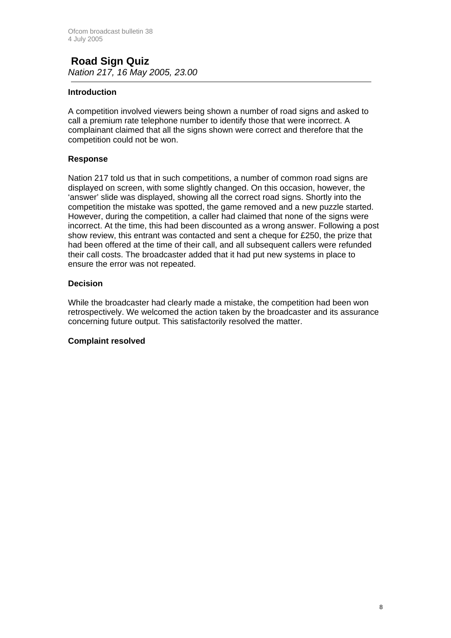# **Road Sign Quiz** *Nation 217, 16 May 2005, 23.00*

# **Introduction**

A competition involved viewers being shown a number of road signs and asked to call a premium rate telephone number to identify those that were incorrect. A complainant claimed that all the signs shown were correct and therefore that the competition could not be won.

# **Response**

Nation 217 told us that in such competitions, a number of common road signs are displayed on screen, with some slightly changed. On this occasion, however, the 'answer' slide was displayed, showing all the correct road signs. Shortly into the competition the mistake was spotted, the game removed and a new puzzle started. However, during the competition, a caller had claimed that none of the signs were incorrect. At the time, this had been discounted as a wrong answer. Following a post show review, this entrant was contacted and sent a cheque for £250, the prize that had been offered at the time of their call, and all subsequent callers were refunded their call costs. The broadcaster added that it had put new systems in place to ensure the error was not repeated.

#### **Decision**

While the broadcaster had clearly made a mistake, the competition had been won retrospectively. We welcomed the action taken by the broadcaster and its assurance concerning future output. This satisfactorily resolved the matter.

#### **Complaint resolved**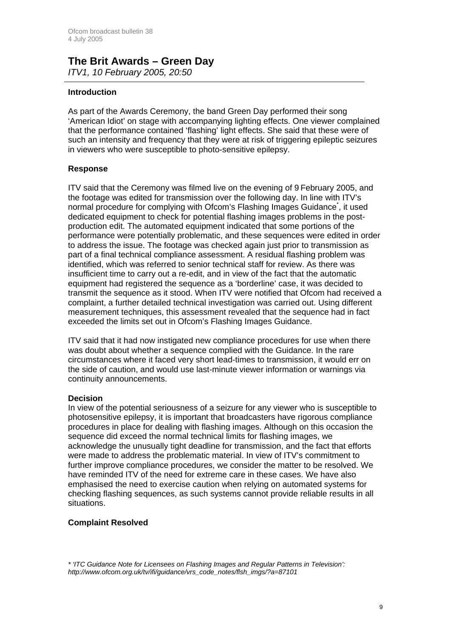# **The Brit Awards – Green Day**

*ITV1, 10 February 2005, 20:50* 

# **Introduction**

As part of the Awards Ceremony, the band Green Day performed their song 'American Idiot' on stage with accompanying lighting effects. One viewer complained that the performance contained 'flashing' light effects. She said that these were of such an intensity and frequency that they were at risk of triggering epileptic seizures in viewers who were susceptible to photo-sensitive epilepsy.

# **Response**

ITV said that the Ceremony was filmed live on the evening of 9 February 2005, and the footage was edited for transmission over the following day. In line with ITV's normal procedure for complying with Ofcom's Flashing Images Guidance<sup>\*</sup>, it used dedicated equipment to check for potential flashing images problems in the postproduction edit. The automated equipment indicated that some portions of the performance were potentially problematic, and these sequences were edited in order to address the issue. The footage was checked again just prior to transmission as part of a final technical compliance assessment. A residual flashing problem was identified, which was referred to senior technical staff for review. As there was insufficient time to carry out a re-edit, and in view of the fact that the automatic equipment had registered the sequence as a 'borderline' case, it was decided to transmit the sequence as it stood. When ITV were notified that Ofcom had received a complaint, a further detailed technical investigation was carried out. Using different measurement techniques, this assessment revealed that the sequence had in fact exceeded the limits set out in Ofcom's Flashing Images Guidance.

ITV said that it had now instigated new compliance procedures for use when there was doubt about whether a sequence complied with the Guidance. In the rare circumstances where it faced very short lead-times to transmission, it would err on the side of caution, and would use last-minute viewer information or warnings via continuity announcements.

# **Decision**

In view of the potential seriousness of a seizure for any viewer who is susceptible to photosensitive epilepsy, it is important that broadcasters have rigorous compliance procedures in place for dealing with flashing images. Although on this occasion the sequence did exceed the normal technical limits for flashing images, we acknowledge the unusually tight deadline for transmission, and the fact that efforts were made to address the problematic material. In view of ITV's commitment to further improve compliance procedures, we consider the matter to be resolved. We have reminded ITV of the need for extreme care in these cases. We have also emphasised the need to exercise caution when relying on automated systems for checking flashing sequences, as such systems cannot provide reliable results in all situations.

# **Complaint Resolved**

*<sup>\* &#</sup>x27;ITC Guidance Note for Licensees on Flashing Images and Regular Patterns in Television': http://www.ofcom.org.uk/tv/ifi/guidance/vrs\_code\_notes/flsh\_imgs/?a=87101*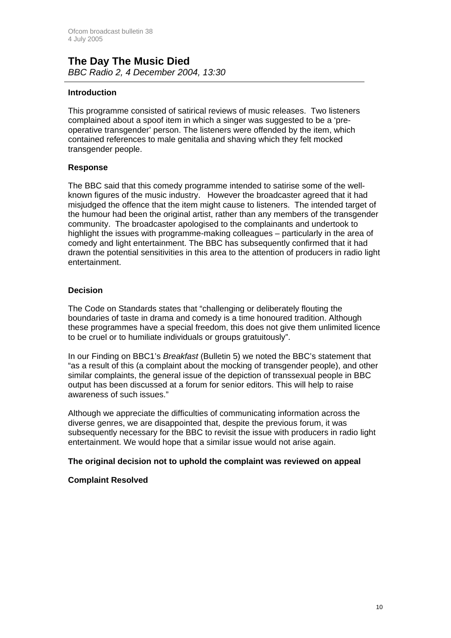# **The Day The Music Died** *BBC Radio 2, 4 December 2004, 13:30*

# **Introduction**

This programme consisted of satirical reviews of music releases. Two listeners complained about a spoof item in which a singer was suggested to be a 'preoperative transgender' person. The listeners were offended by the item, which contained references to male genitalia and shaving which they felt mocked transgender people.

#### **Response**

The BBC said that this comedy programme intended to satirise some of the wellknown figures of the music industry. However the broadcaster agreed that it had misjudged the offence that the item might cause to listeners. The intended target of the humour had been the original artist, rather than any members of the transgender community. The broadcaster apologised to the complainants and undertook to highlight the issues with programme-making colleagues – particularly in the area of comedy and light entertainment. The BBC has subsequently confirmed that it had drawn the potential sensitivities in this area to the attention of producers in radio light entertainment.

# **Decision**

The Code on Standards states that "challenging or deliberately flouting the boundaries of taste in drama and comedy is a time honoured tradition. Although these programmes have a special freedom, this does not give them unlimited licence to be cruel or to humiliate individuals or groups gratuitously".

In our Finding on BBC1's *Breakfast* (Bulletin 5) we noted the BBC's statement that "as a result of this (a complaint about the mocking of transgender people), and other similar complaints, the general issue of the depiction of transsexual people in BBC output has been discussed at a forum for senior editors. This will help to raise awareness of such issues."

Although we appreciate the difficulties of communicating information across the diverse genres, we are disappointed that, despite the previous forum, it was subsequently necessary for the BBC to revisit the issue with producers in radio light entertainment. We would hope that a similar issue would not arise again.

# **The original decision not to uphold the complaint was reviewed on appeal**

#### **Complaint Resolved**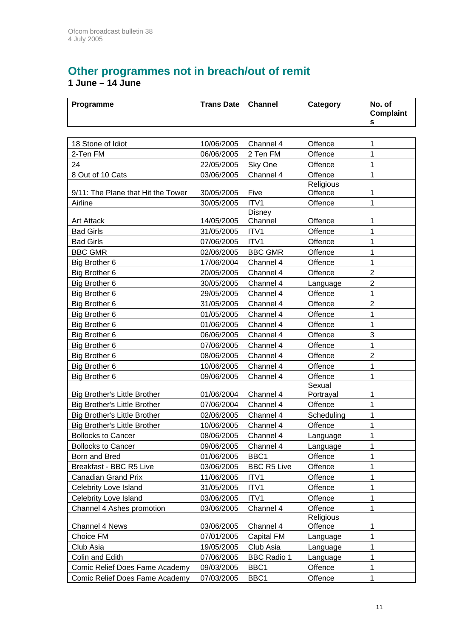# **Other programmes not in breach/out of remit**

**1 June – 14 June** 

| Programme                                              | <b>Trans Date</b>        | <b>Channel</b>         | Category            | No. of<br><b>Complaint</b><br>s |
|--------------------------------------------------------|--------------------------|------------------------|---------------------|---------------------------------|
|                                                        |                          |                        |                     |                                 |
| 18 Stone of Idiot                                      | 10/06/2005               | Channel 4              | Offence             | 1                               |
| 2-Ten FM                                               | 06/06/2005               | 2 Ten FM               | Offence             | 1                               |
| 24                                                     | 22/05/2005               | Sky One                | Offence             | 1                               |
| 8 Out of 10 Cats                                       | 03/06/2005               | Channel 4              | Offence             | 1                               |
|                                                        |                          |                        | Religious           |                                 |
| 9/11: The Plane that Hit the Tower                     | 30/05/2005               | Five                   | Offence             | 1                               |
| Airline                                                | 30/05/2005               | ITV1                   | Offence             | 1                               |
| Art Attack                                             | 14/05/2005               | Disney<br>Channel      | Offence             | 1                               |
| <b>Bad Girls</b>                                       | 31/05/2005               | ITV1                   | Offence             | 1                               |
| <b>Bad Girls</b>                                       | 07/06/2005               | ITV1                   | Offence             | 1                               |
| <b>BBC GMR</b>                                         | 02/06/2005               | <b>BBC GMR</b>         | Offence             | 1                               |
| Big Brother 6                                          | 17/06/2004               | Channel 4              | Offence             | 1                               |
| Big Brother 6                                          | 20/05/2005               | Channel 4              | Offence             | $\overline{2}$                  |
| Big Brother 6                                          | 30/05/2005               | Channel 4              | Language            | $\overline{2}$                  |
| Big Brother 6                                          | 29/05/2005               | Channel 4              | Offence             | 1                               |
| Big Brother 6                                          | 31/05/2005               | Channel 4              | Offence             | $\overline{2}$                  |
| Big Brother 6                                          | 01/05/2005               | Channel 4              | Offence             | 1                               |
| Big Brother 6                                          | 01/06/2005               | Channel 4              | Offence             | 1                               |
| Big Brother 6                                          | 06/06/2005               | Channel 4              | Offence             | 3                               |
| Big Brother 6                                          | 07/06/2005               | Channel 4              | Offence             | 1                               |
| Big Brother 6                                          | 08/06/2005               | Channel 4              | Offence             | $\overline{2}$                  |
| Big Brother 6                                          | 10/06/2005               | Channel 4              | Offence             | 1                               |
| Big Brother 6                                          | 09/06/2005               | Channel 4              | Offence             | 1                               |
|                                                        |                          |                        | Sexual              |                                 |
| Big Brother's Little Brother                           | 01/06/2004               | Channel 4              | Portrayal           | 1                               |
| <b>Big Brother's Little Brother</b>                    | 07/06/2004               | Channel 4              | Offence             | 1                               |
| Big Brother's Little Brother                           | 02/06/2005               | Channel 4              | Scheduling          | 1                               |
| Big Brother's Little Brother                           | 10/06/2005               | Channel 4              | Offence             | 1<br>1                          |
| <b>Bollocks to Cancer</b><br><b>Bollocks to Cancer</b> | 08/06/2005<br>09/06/2005 | Channel 4<br>Channel 4 | Language            | 1                               |
| Born and Bred                                          | 01/06/2005               | BBC1                   | Language<br>Offence | 1                               |
| Breakfast - BBC R5 Live                                | 03/06/2005               | <b>BBC R5 Live</b>     | Offence             | 1                               |
| <b>Canadian Grand Prix</b>                             | 11/06/2005               | ITV1                   | Offence             | 1                               |
| Celebrity Love Island                                  | 31/05/2005               | ITV1                   | Offence             | 1                               |
| Celebrity Love Island                                  | 03/06/2005               | ITV1                   | Offence             | 1                               |
| Channel 4 Ashes promotion                              | 03/06/2005               | Channel 4              | Offence             | 1                               |
|                                                        |                          |                        | Religious           |                                 |
| Channel 4 News                                         | 03/06/2005               | Channel 4              | Offence             | 1                               |
| Choice FM                                              | 07/01/2005               | Capital FM             | Language            | 1                               |
| Club Asia                                              | 19/05/2005               | Club Asia              | Language            | 1                               |
| Colin and Edith                                        | 07/06/2005               | <b>BBC Radio 1</b>     | Language            | 1                               |
| Comic Relief Does Fame Academy                         | 09/03/2005               | BBC1                   | Offence             | 1                               |
| Comic Relief Does Fame Academy                         | 07/03/2005               | BBC1                   | Offence             | 1                               |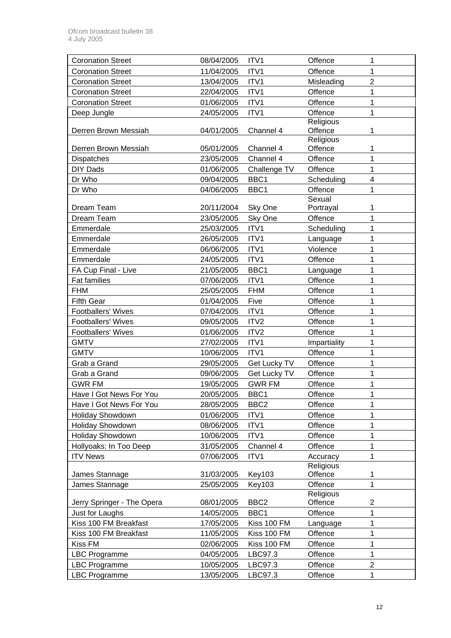| <b>Coronation Street</b>   | 08/04/2005 | ITV1             | Offence              | 1                       |
|----------------------------|------------|------------------|----------------------|-------------------------|
| <b>Coronation Street</b>   | 11/04/2005 | ITV1             | Offence              | 1                       |
| <b>Coronation Street</b>   | 13/04/2005 | ITV1             | Misleading           | $\overline{2}$          |
| <b>Coronation Street</b>   | 22/04/2005 | ITV1             | Offence              | 1                       |
| <b>Coronation Street</b>   | 01/06/2005 | ITV1             | Offence              | 1                       |
| Deep Jungle                | 24/05/2005 | ITV1             | Offence              | 1                       |
| Derren Brown Messiah       | 04/01/2005 | Channel 4        | Religious<br>Offence | 1                       |
| Derren Brown Messiah       | 05/01/2005 | Channel 4        | Religious<br>Offence | 1                       |
| Dispatches                 | 23/05/2005 | Channel 4        | Offence              | 1                       |
| <b>DIY Dads</b>            | 01/06/2005 | Challenge TV     | Offence              | 1                       |
| Dr Who                     | 09/04/2005 | BBC1             | Scheduling           | $\overline{\mathbf{4}}$ |
| Dr Who                     | 04/06/2005 | BBC1             | Offence              | 1                       |
| Dream Team                 | 20/11/2004 | Sky One          | Sexual<br>Portrayal  | 1                       |
| Dream Team                 | 23/05/2005 | Sky One          | Offence              | 1                       |
| Emmerdale                  | 25/03/2005 | ITV1             | Scheduling           | 1                       |
| Emmerdale                  | 26/05/2005 | ITV1             | Language             | $\mathbf 1$             |
| Emmerdale                  | 06/06/2005 | ITV1             | Violence             | 1                       |
| Emmerdale                  | 24/05/2005 | ITV1             | Offence              | $\overline{1}$          |
| FA Cup Final - Live        | 21/05/2005 | BBC1             | Language             | 1                       |
| <b>Fat families</b>        | 07/06/2005 | ITV1             | Offence              | 1                       |
| <b>FHM</b>                 | 25/05/2005 | <b>FHM</b>       | Offence              | 1                       |
| <b>Fifth Gear</b>          | 01/04/2005 | Five             | Offence              | 1                       |
| Footballers' Wives         | 07/04/2005 | ITV1             | Offence              | $\mathbf 1$             |
| <b>Footballers' Wives</b>  | 09/05/2005 | ITV2             | Offence              | 1                       |
| Footballers' Wives         | 01/06/2005 | ITV2             | Offence              | 1                       |
| <b>GMTV</b>                | 27/02/2005 | ITV1             | Impartiality         | 1                       |
| <b>GMTV</b>                | 10/06/2005 | ITV1             | Offence              | 1                       |
| Grab a Grand               | 29/05/2005 | Get Lucky TV     | Offence              | 1                       |
| Grab a Grand               | 09/06/2005 | Get Lucky TV     | Offence              | 1                       |
| <b>GWR FM</b>              | 19/05/2005 | <b>GWR FM</b>    | Offence              | 1                       |
| Have I Got News For You    | 20/05/2005 | BBC1             | Offence              | 1                       |
| Have I Got News For You    | 28/05/2005 | BBC <sub>2</sub> | Offence              | 1                       |
| <b>Holiday Showdown</b>    | 01/06/2005 | ITV1             | Offence              | 1                       |
| <b>Holiday Showdown</b>    | 08/06/2005 | ITV1             | Offence              | 1                       |
| Holiday Showdown           | 10/06/2005 | ITV1             | Offence              | 1                       |
| Hollyoaks: In Too Deep     | 31/05/2005 | Channel 4        | Offence              | 1                       |
| <b>ITV News</b>            | 07/06/2005 | ITV1             | Accuracy             | 1                       |
| James Stannage             | 31/03/2005 | <b>Key103</b>    | Religious<br>Offence | 1                       |
| James Stannage             | 25/05/2005 | <b>Key103</b>    | Offence              | 1                       |
|                            |            |                  | Religious            |                         |
| Jerry Springer - The Opera | 08/01/2005 | BBC <sub>2</sub> | Offence              | 2                       |
| Just for Laughs            | 14/05/2005 | BBC1             | Offence              | 1                       |
| Kiss 100 FM Breakfast      | 17/05/2005 | Kiss 100 FM      | Language             | 1                       |
| Kiss 100 FM Breakfast      | 11/05/2005 | Kiss 100 FM      | Offence              | 1                       |
| Kiss FM                    | 02/06/2005 | Kiss 100 FM      | Offence              | 1                       |
| <b>LBC Programme</b>       | 04/05/2005 | LBC97.3          | Offence              | 1                       |
| <b>LBC Programme</b>       | 10/05/2005 | LBC97.3          | Offence              | $\overline{c}$          |
| <b>LBC Programme</b>       | 13/05/2005 | LBC97.3          | Offence              | 1                       |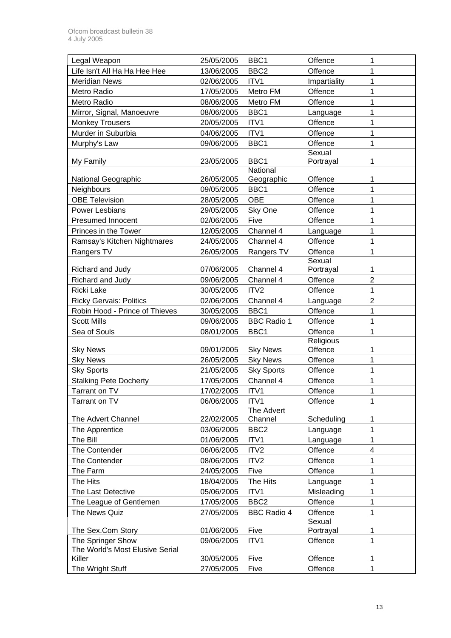| Legal Weapon                                         | 25/05/2005 | BBC1               | Offence      | 1              |
|------------------------------------------------------|------------|--------------------|--------------|----------------|
| Life Isn't All Ha Ha Hee Hee                         | 13/06/2005 | BBC <sub>2</sub>   | Offence      | 1              |
| <b>Meridian News</b>                                 | 02/06/2005 | ITV1               | Impartiality | 1              |
| Metro Radio                                          | 17/05/2005 | Metro FM           | Offence      | 1              |
| Metro Radio                                          | 08/06/2005 | Metro FM           | Offence      | 1              |
| Mirror, Signal, Manoeuvre                            | 08/06/2005 | BBC1               | Language     | 1              |
| <b>Monkey Trousers</b>                               | 20/05/2005 | ITV1               | Offence      | 1              |
| Murder in Suburbia                                   | 04/06/2005 | ITV1               | Offence      | 1              |
| Murphy's Law                                         | 09/06/2005 | BBC1               | Offence      | 1              |
|                                                      |            |                    | Sexual       |                |
| My Family                                            | 23/05/2005 | BBC1               | Portrayal    | 1              |
|                                                      |            | National           |              |                |
| National Geographic                                  | 26/05/2005 | Geographic         | Offence      | 1              |
| Neighbours                                           | 09/05/2005 | BBC1               | Offence      | 1              |
| <b>OBE Television</b>                                | 28/05/2005 | <b>OBE</b>         | Offence      | 1              |
| Power Lesbians                                       | 29/05/2005 | Sky One            | Offence      | 1              |
| Presumed Innocent                                    | 02/06/2005 | Five               | Offence      | 1              |
| Princes in the Tower                                 | 12/05/2005 | Channel 4          | Language     | 1              |
| Ramsay's Kitchen Nightmares                          | 24/05/2005 | Channel 4          | Offence      | 1              |
| Rangers TV                                           | 26/05/2005 | Rangers TV         | Offence      | 1              |
|                                                      |            |                    | Sexual       |                |
| Richard and Judy                                     | 07/06/2005 | Channel 4          | Portrayal    | 1              |
| Richard and Judy                                     | 09/06/2005 | Channel 4          | Offence      | $\overline{2}$ |
| Ricki Lake                                           | 30/05/2005 | ITV2               | Offence      | 1              |
| <b>Ricky Gervais: Politics</b>                       | 02/06/2005 | Channel 4          | Language     | $\overline{c}$ |
| Robin Hood - Prince of Thieves                       | 30/05/2005 | BBC1               | Offence      | 1              |
| <b>Scott Mills</b>                                   | 09/06/2005 | <b>BBC Radio 1</b> | Offence      | 1              |
| Sea of Souls                                         | 08/01/2005 | BBC1               | Offence      | 1              |
|                                                      |            |                    | Religious    |                |
| <b>Sky News</b>                                      | 09/01/2005 | <b>Sky News</b>    | Offence      | 1              |
| <b>Sky News</b>                                      | 26/05/2005 | <b>Sky News</b>    | Offence      | 1              |
| <b>Sky Sports</b>                                    | 21/05/2005 | <b>Sky Sports</b>  | Offence      | 1              |
| <b>Stalking Pete Docherty</b>                        | 17/05/2005 | Channel 4          | Offence      | 1              |
| Tarrant on TV                                        | 17/02/2005 | ITV1               | Offence      | 1              |
| Tarrant on TV                                        | 06/06/2005 | ITV1               | Offence      | 1              |
|                                                      |            | The Advert         |              |                |
| The Advert Channel                                   | 22/02/2005 | Channel            | Scheduling   | 1              |
| The Apprentice                                       | 03/06/2005 | BBC <sub>2</sub>   | Language     | 1              |
| The Bill                                             | 01/06/2005 | ITV1               | Language     | 1              |
| The Contender                                        | 06/06/2005 | ITV <sub>2</sub>   | Offence      | 4              |
| The Contender                                        | 08/06/2005 | ITV2               | Offence      | 1              |
| The Farm                                             | 24/05/2005 | Five               | Offence      | 1              |
| The Hits                                             | 18/04/2005 | The Hits           | Language     | 1              |
| The Last Detective                                   | 05/06/2005 | ITV1               | Misleading   | 1              |
| The League of Gentlemen                              | 17/05/2005 | BBC <sub>2</sub>   | Offence      | 1              |
| The News Quiz                                        | 27/05/2005 | <b>BBC Radio 4</b> | Offence      | 1              |
|                                                      |            |                    | Sexual       |                |
| The Sex.Com Story                                    | 01/06/2005 | Five               | Portrayal    | 1              |
| The Springer Show<br>The World's Most Elusive Serial | 09/06/2005 | ITV1               | Offence      | 1              |
| Killer                                               | 30/05/2005 | Five               | Offence      | 1              |
| The Wright Stuff                                     | 27/05/2005 | Five               | Offence      | 1              |
|                                                      |            |                    |              |                |